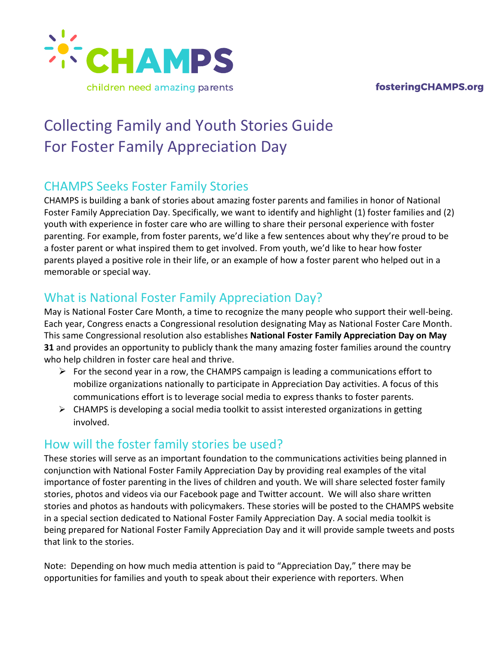fosteringCHAMPS.org



# Collecting Family and Youth Stories Guide For Foster Family Appreciation Day

#### CHAMPS Seeks Foster Family Stories

CHAMPS is building a bank of stories about amazing foster parents and families in honor of National Foster Family Appreciation Day. Specifically, we want to identify and highlight (1) foster families and (2) youth with experience in foster care who are willing to share their personal experience with foster parenting. For example, from foster parents, we'd like a few sentences about why they're proud to be a foster parent or what inspired them to get involved. From youth, we'd like to hear how foster parents played a positive role in their life, or an example of how a foster parent who helped out in a memorable or special way.

## What is National Foster Family Appreciation Day?

May is National Foster Care Month, a time to recognize the many people who support their well-being. Each year, Congress enacts a Congressional resolution designating May as National Foster Care Month. This same Congressional resolution also establishes **National Foster Family Appreciation Day on May 31** and provides an opportunity to publicly thank the many amazing foster families around the country who help children in foster care heal and thrive.

- $\triangleright$  For the second year in a row, the CHAMPS campaign is leading a communications effort to mobilize organizations nationally to participate in Appreciation Day activities. A focus of this communications effort is to leverage social media to express thanks to foster parents.
- $\triangleright$  CHAMPS is developing a social media toolkit to assist interested organizations in getting involved.

## How will the foster family stories be used?

These stories will serve as an important foundation to the communications activities being planned in conjunction with National Foster Family Appreciation Day by providing real examples of the vital importance of foster parenting in the lives of children and youth. We will share selected foster family stories, photos and videos via our Facebook page and Twitter account. We will also share written stories and photos as handouts with policymakers. These stories will be posted to the CHAMPS website in a special section dedicated to National Foster Family Appreciation Day. A social media toolkit is being prepared for National Foster Family Appreciation Day and it will provide sample tweets and posts that link to the stories.

Note: Depending on how much media attention is paid to "Appreciation Day," there may be opportunities for families and youth to speak about their experience with reporters. When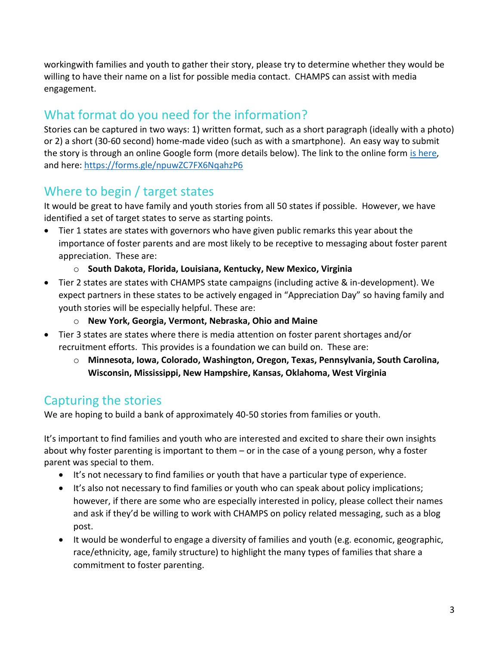workingwith families and youth to gather their story, please try to determine whether they would be willing to have their name on a list for possible media contact. CHAMPS can assist with media engagement.

## What format do you need for the information?

Stories can be captured in two ways: 1) written format, such as a short paragraph (ideally with a photo) or 2) a short (30-60 second) home-made video (such as with a smartphone). An easy way to submit the story is through an online Google form (more details below). The link to the online form [is here,](https://forms.gle/npuwZC7FX6NqahzP6) and here:<https://forms.gle/npuwZC7FX6NqahzP6>

## Where to begin / target states

It would be great to have family and youth stories from all 50 states if possible. However, we have identified a set of target states to serve as starting points.

- Tier 1 states are states with governors who have given public remarks this year about the importance of foster parents and are most likely to be receptive to messaging about foster parent appreciation. These are:
	- o **South Dakota, Florida, Louisiana, Kentucky, New Mexico, Virginia**
- Tier 2 states are states with CHAMPS state campaigns (including active & in-development). We expect partners in these states to be actively engaged in "Appreciation Day" so having family and youth stories will be especially helpful. These are:
	- o **New York, Georgia, Vermont, Nebraska, Ohio and Maine**
- Tier 3 states are states where there is media attention on foster parent shortages and/or recruitment efforts. This provides is a foundation we can build on. These are:
	- o **Minnesota, Iowa, Colorado, Washington, Oregon, Texas, Pennsylvania, South Carolina, Wisconsin, Mississippi, New Hampshire, Kansas, Oklahoma, West Virginia**

## Capturing the stories

We are hoping to build a bank of approximately 40-50 stories from families or youth.

It's important to find families and youth who are interested and excited to share their own insights about why foster parenting is important to them – or in the case of a young person, why a foster parent was special to them.

- It's not necessary to find families or youth that have a particular type of experience.
- It's also not necessary to find families or youth who can speak about policy implications; however, if there are some who are especially interested in policy, please collect their names and ask if they'd be willing to work with CHAMPS on policy related messaging, such as a blog post.
- It would be wonderful to engage a diversity of families and youth (e.g. economic, geographic, race/ethnicity, age, family structure) to highlight the many types of families that share a commitment to foster parenting.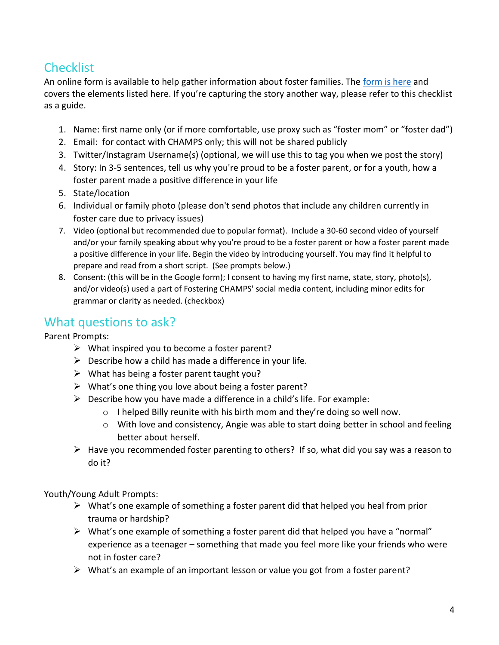## **Checklist**

An online form is available to help gather information about foster families. The [form is here](https://forms.gle/npuwZC7FX6NqahzP6) and covers the elements listed here. If you're capturing the story another way, please refer to this checklist as a guide.

- 1. Name: first name only (or if more comfortable, use proxy such as "foster mom" or "foster dad")
- 2. Email: for contact with CHAMPS only; this will not be shared publicly
- 3. Twitter/Instagram Username(s) (optional, we will use this to tag you when we post the story)
- 4. Story: In 3-5 sentences, tell us why you're proud to be a foster parent, or for a youth, how a foster parent made a positive difference in your life
- 5. State/location
- 6. Individual or family photo (please don't send photos that include any children currently in foster care due to privacy issues)
- 7. Video (optional but recommended due to popular format). Include a 30-60 second video of yourself and/or your family speaking about why you're proud to be a foster parent or how a foster parent made a positive difference in your life. Begin the video by introducing yourself. You may find it helpful to prepare and read from a short script. (See prompts below.)
- 8. Consent: (this will be in the Google form); I consent to having my first name, state, story, photo(s), and/or video(s) used a part of Fostering CHAMPS' social media content, including minor edits for grammar or clarity as needed. (checkbox)

#### What questions to ask?

Parent Prompts:

- $\triangleright$  What inspired you to become a foster parent?
- $\triangleright$  Describe how a child has made a difference in your life.
- $\triangleright$  What has being a foster parent taught you?
- ➢ What's one thing you love about being a foster parent?
- $\triangleright$  Describe how you have made a difference in a child's life. For example:
	- o I helped Billy reunite with his birth mom and they're doing so well now.
	- $\circ$  With love and consistency, Angie was able to start doing better in school and feeling better about herself.
- ➢ Have you recommended foster parenting to others? If so, what did you say was a reason to do it?

Youth/Young Adult Prompts:

- ➢ What's one example of something a foster parent did that helped you heal from prior trauma or hardship?
- $\triangleright$  What's one example of something a foster parent did that helped you have a "normal" experience as a teenager – something that made you feel more like your friends who were not in foster care?
- $\triangleright$  What's an example of an important lesson or value you got from a foster parent?